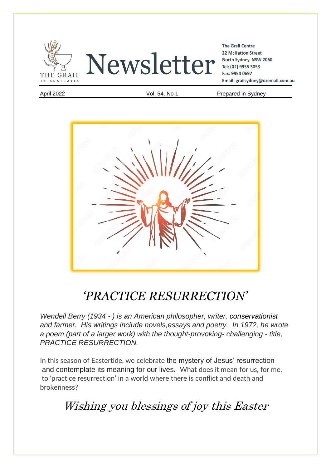



**The Grail Centre 22 McHatton Street** North Sydney. NSW 2060 Tel: (02) 9955 3053 Fax: 9954 0697 Email: grailsydney@ozemail.com.au

April 2022 **Vol. 54, No 1** Prepared in Sydney



# *'PRACTICE RESURRECTION'*

*Wendell Berry (1934 - ) is an American philosopher, writer, [conservationist](https://en.wikipedia.org/wiki/Environmental_activist) and farmer. His writings include novels,essays and poetry. In 1972, he wrote a poem (part of a larger work) with the thought-provoking- challenging - title, PRACTICE RESURRECTION.*

In this season of Eastertide, we celebrate the mystery of Jesus' resurrection and contemplate its meaning for our lives*.* What does it mean for us, for me, to 'practice resurrection' in a world where there is conflict and death and brokenness?

Wishing you blessings of joy this Easter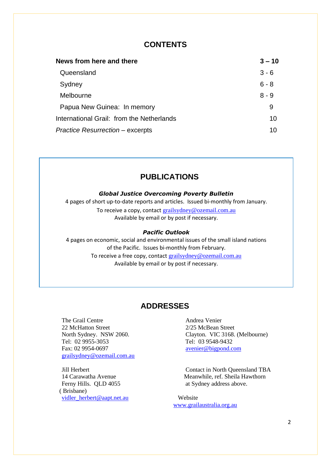## **CONTENTS**

| News from here and there                  | $3 - 10$ |
|-------------------------------------------|----------|
| Queensland                                | $3 - 6$  |
| Sydney                                    | $6 - 8$  |
| Melbourne                                 | $8 - 9$  |
| Papua New Guinea: In memory               | 9        |
| International Grail: from the Netherlands | 10       |
| <b>Practice Resurrection – excerpts</b>   | 10       |

# **PUBLICATIONS**

#### *Global Justice Overcoming Poverty Bulletin*

4 pages of short up-to-date reports and articles. Issued bi-monthly from January. To receive a copy, contact [grailsydney@ozemail.com.au](mailto:grailsydney@ozemail.com.au) Available by email or by post if necessary.

#### *Pacific Outlook*

4 pages on economic, social and environmental issues of the small island nations of the Pacific. Issues bi-monthly from February. To receive a free copy, contact [grailsydney@ozemail.com.au](mailto:grailsydney@ozemail.com.au) Available by email or by post if necessary.

# **ADDRESSES**

The Grail Centre Andrea Venier 22 McHatton Street 2/25 McBean Street Tel: 02 9955-3053 Tel: 03 9548-9432 Fax: 02 9954-0697 [avenier@bigpond.com](mailto:avenier@bigpond.com) [grailsydney@ozemail.com.au](mailto:grailsydney@ozemail.com.au)

Ferny Hills. QLD 4055 at Sydney address above. ( Brisbane) [vidler\\_herbert@aapt.net.au](mailto:vidler_herbert@aapt.net.au) Website

North Sydney. NSW 2060. Clayton. VIC 3168. (Melbourne)

Jill Herbert Contact in North Queensland TBA 14 Carawatha Avenue Meanwhile, ref. Sheila Hawthorn

[www.grailaustralia.org.au](http://www.grailaustralia.org.au/)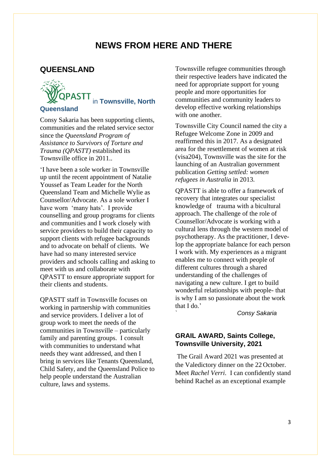# **NEWS FROM HERE AND THERE**

#### **QUEENSLAND**



#### **Queensland**

Consy Sakaria has been supporting clients, communities and the related service sector since the *Queensland Program of Assistance to Survivors of Torture and Trauma (QPASTT)* established its Townsville office in 2011..

'I have been a sole worker in Townsville up until the recent appointment of Natalie Youssef as Team Leader for the North Queensland Team and Michelle Wylie as Counsellor/Advocate. As a sole worker I have worn 'many hats'. I provide counselling and group programs for clients and communities and I work closely with service providers to build their capacity to support clients with refugee backgrounds and to advocate on behalf of clients. We have had so many interested service providers and schools calling and asking to meet with us and collaborate with QPASTT to ensure appropriate support for their clients and students.

QPASTT staff in Townsville focuses on working in partnership with communities and service providers. I deliver a lot of group work to meet the needs of the communities in Townsville – particularly family and parenting groups. I consult with communities to understand what needs they want addressed, and then I bring in services like Tenants Queensland, Child Safety, and the Queensland Police to help people understand the Australian culture, laws and systems.

Townsville refugee communities through their respective leaders have indicated the need for appropriate support for young people and more opportunities for communities and community leaders to develop effective working relationships with one another.

Townsville City Council named the city a Refugee Welcome Zone in 2009 and reaffirmed this in 2017. As a designated area for the resettlement of women at risk (visa204), Townsville was the site for the launching of an Australian government publication *Getting settled: women refugees in Australia* in 2013.

QPASTT is able to offer a framework of recovery that integrates our specialist knowledge of trauma with a bicultural approach. The challenge of the role of Counsellor/Advocate is working with a cultural lens through the western model of psychotherapy. As the practitioner, I develop the appropriate balance for each person I work with. My experiences as a migrant enables me to connect with people of different cultures through a shared understanding of the challenges of navigating a new culture. I get to build wonderful relationships with people- that is why I am so passionate about the work that I do.'

*` Consy Sakaria*

#### **GRAIL AWARD, Saints College, Townsville University, 2021**

The Grail Award 2021 was presented at the Valedictory dinner on the 22 October. Meet *Rachel Verri.* I can confidently stand behind Rachel as an exceptional example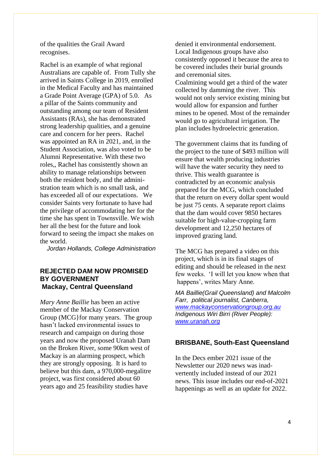of the qualities the Grail Award recognises.

Rachel is an example of what regional Australians are capable of. From Tully she arrived in Saints College in 2019, enrolled in the Medical Faculty and has maintained a Grade Point Average (GPA) of 5.0. As a pillar of the Saints community and outstanding among our team of Resident Assistants (RAs), she has demonstrated strong leadership qualities, and a genuine care and concern for her peers. Rachel was appointed an RA in 2021, and, in the Student Association, was also voted to be Alumni Representative. With these two roles,, Rachel has consistently shown an ability to manage relationships between both the resident body, and the administration team which is no small task, and has exceeded all of our expectations. We consider Saints very fortunate to have had the privilege of accommodating her for the time she has spent in Townsville. We wish her all the best for the future and look forward to seeing the impact she makes on the world.

*Jordan Hollands, College Administration*

#### **REJECTED DAM NOW PROMISED BY GOVERNMENT Mackay, Central Queensland**

*Mary Anne Baillie* has been an active member of the Mackay Conservation Group (MCG}for many years. The group hasn't lacked environmental issues to research and campaign on during those years and now the proposed Uranah Dam on the Broken River, some 90km west of Mackay is an alarming prospect, which they are strongly opposing. It is hard to believe but this dam, a 970,000-megalitre project, was first considered about 60 years ago and 25 feasibility studies have

denied it environmental endorsement. Local Indigenous groups have also consistently opposed it because the area to be covered includes their burial grounds and ceremonial sites. Coalmining would get a third of the water collected by damming the river. This would not only service existing mining but would allow for expansion and further mines to be opened. Most of the remainder would go to agricultural irrigation. The plan includes hydroelectric generation.

The government claims that its funding of the project to the tune of \$493 million will ensure that wealth producing industries will have the water security they need to thrive. This wealth guarantee is contradicted by an economic analysis prepared for the MCG, which concluded that the return on every dollar spent would be just 75 cents. A separate report claims that the dam would cover 9850 hectares suitable for high-value-cropping farm development and 12,250 hectares of improved grazing land.

The MCG has prepared a video on this project, which is in its final stages of editing and should be released in the next few weeks. 'I will let you know when that happens', writes Mary Anne.

*MA Baillie(Grail Queensland) and Malcolm Farr, political journalist, Canberra, [www.mackayconservationgroup.org.au](http://www.mackayconservationgroup.org.au/)  Indigenous Wiri Birri (River People): [www.uranah.org](http://www.uranah.org/)*

#### **BRISBANE, South-East Queensland**

In the Decs ember 2021 issue of the Newsletter our 2020 news was inadvertently included instead of our 2021 news. This issue includes our end-of-2021 happenings as well as an update for 2022.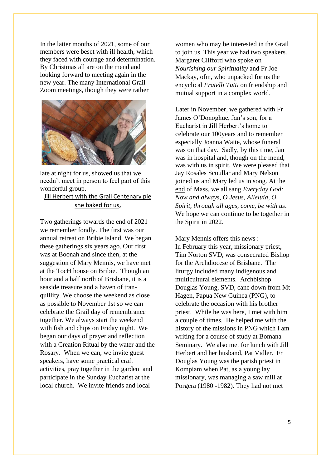In the latter months of 2021, some of our members were beset with ill health, which they faced with courage and determination. By Christmas all are on the mend and looking forward to meeting again in the new year. The many International Grail Zoom meetings, though they were rather



late at night for us, showed us that we needn't meet in person to feel part of this wonderful group.

# Jill Herbert with the Grail Centenary pie she baked for us**,**

Two gatherings towards the end of 2021 we remember fondly. The first was our annual retreat on Bribie Island. We began these gatherings six years ago. Our first was at Boonah and since then, at the suggestion of Mary Mennis, we have met at the TocH house on Bribie. Though an hour and a half north of Brisbane, it is a seaside treasure and a haven of tranquillity. We choose the weekend as close as possible to November 1st so we can celebrate the Grail day of remembrance together. We always start the weekend with fish and chips on Friday night. We began our days of prayer and reflection with a Creation Ritual by the water and the Rosary. When we can, we invite guest speakers, have some practical craft activities, pray together in the garden and participate in the Sunday Eucharist at the local church. We invite friends and local

women who may be interested in the Grail to join us. This year we had two speakers. Margaret Clifford who spoke on *Nourishing our Spirituality* and Fr Joe Mackay, ofm, who unpacked for us the encyclical *Fratelli Tutti* on friendship and mutual support in a complex world.

Later in November, we gathered with Fr James O'Donoghue, Jan's son, for a Eucharist in Jill Herbert's home to celebrate our 100years and to remember especially Joanna Waite, whose funeral was on that day. Sadly, by this time, Jan was in hospital and, though on the mend, was with us in spirit. We were pleased that Jay Rosales Scoullar and Mary Nelson joined us and Mary led us in song. At the end of Mass, we all sang *Everyday God: Now and always, O Jesus, Alleluia, O Spirit, through all ages, come, be with us*. We hope we can continue to be together in the Spirit in 2022.

Mary Mennis offers this news : In February this year, missionary priest, Tim Norton SVD, was consecrated Bishop for the Archdiocese of Brisbane. The liturgy included many indigenous and multicultural elements. Archbishop Douglas Young, SVD, cane down from Mt Hagen, Papua New Guinea (PNG), to celebrate the occasion with his brother priest. While he was here, I met with him a couple of times. He helped me with the history of the missions in PNG which I am writing for a course of study at Bomana Seminary. We also met for lunch with Jill Herbert and her husband, Pat Vidler. Fr Douglas Young was the parish priest in Kompiam when Pat, as a young lay missionary, was managing a saw mill at Porgera (1980 -1982). They had not met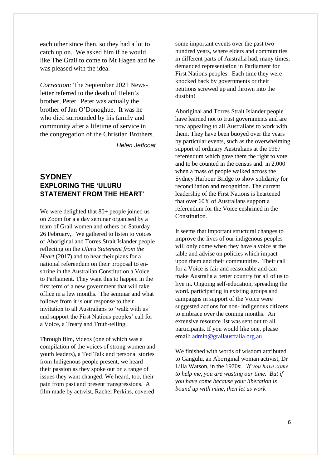each other since then, so they had a lot to catch up on. We asked him if he would like The Grail to come to Mt Hagen and he was pleased with the idea.

*Correction:* The September 2021 Newsletter referred to the death of Helen's brother, Peter. Peter was actually the brother of Jan O'Donoghue. It was he who died surrounded by his family and community after a lifetime of service in the congregation of the Christian Brothers.

*Helen Jeffcoat*

# **SYDNEY EXPLORING THE 'ULURU STATEMENT FROM THE HEART'**

We were delighted that 80+ people joined us on Zoom for a a day seminar organised by a team of Grail women and others on Saturday 26 February,. We gathered to listen to voices of Aboriginal and Torres Strait Islander people reflecting on the *Uluru Statement from the Heart* (2017) and to hear their plans for a national referendum on their proposal to enshrine in the Australian Constitution a Voice to Parliament. They want this to happen in the first term of a new government that will take office in a few months. The seminar and what follows from it is our response to their invitation to all Australians to 'walk with us' and support the First Nations peoples' call for a Voice, a Treaty and Truth-telling.

Through film, videos (one of which was a compilation of the voices of strong women and youth leaders), a Ted Talk and personal stories from Indigenous people present, we heard their passion as they spoke out on a range of issues they want changed. We heard, too, their pain from past and present transgressions. A film made by activist, Rachel Perkins, covered

some important events over the past two hundred years, where elders and communities in different parts of Australia had, many times, demanded representation in Parliament for First Nations peoples. Each time they were knocked back by governments or their petitions screwed up and thrown into the dustbin!

Aboriginal and Torres Strait Islander people have learned not to trust governments and are now appealing to all Australians to work with them. They have been buoyed over the years by particular events, such as the overwhelming support of ordinary Australians at the 1967 referendum which gave them the right to vote and to be counted in the census and. in 2,000 when a mass of people walked across the Sydney Harbour Bridge to show solidarity for reconciliation and recognition. The current leadership of the First Nations is heartened that over 60% of Australians support a referendum for the Voice enshrined in the Constitution.

It seems that important structural changes to improve the lives of our indigenous peoples will only come when they have a voice at the table and advise on policies which impact upon them and their communities. Their call for a Voice is fair and reasonable and can make Australia a better country for all of us to live in. Ongoing self-education, spreading the word. participating in existing groups and campaigns in support of the Voice were suggested actions for non- indigenous citizens to embrace over the coming months. An extensive resource list was sent out to all participants. If you would like one, please email: [admin@grailaustralia.org.au](mailto:admin@grailaustralia.org.au) 

We finished with words of wisdom attributed to Gangulu, an Aboriginal woman activist, Dr Lilla Watson, in the 1970s: *'If you have come to help me, you are wasting our time. But if you have come because your liberation is bound up with mine, then let us work*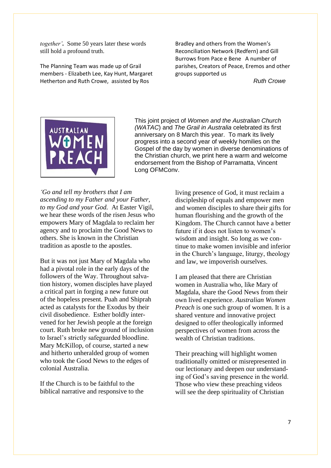*together'.* Some 50 years later these words still hold a profound truth.

The Planning Team was made up of Grail members - Elizabeth Lee, Kay Hunt, Margaret Hetherton and Ruth Crowe, assisted by Ros

Bradley and others from the Women's Reconciliation Network (Redfern) and Gill Burrows from Pace e Bene A number of parishes, Creators of Peace, Eremos and other groups supported us

*Ruth Crowe*



This joint project of *Women and the Australian Church (WATAC*) and *The Grail in Australia* celebrated its first anniversary on 8 March this year. To mark its lively progress into a second year of weekly homilies on the Gospel of the day by women in diverse denominations of the Christian church, we print here a warm and welcome endorsement from the Bishop of Parramatta, Vincent Long OFMConv.

*'Go and tell my brothers that I am ascending to my Father and your Father, to my God and your God.* At Easter Vigil, we hear these words of the risen Jesus who empowers Mary of Magdala to reclaim her agency and to proclaim the Good News to others. She is known in the Christian tradition as apostle to the apostles.

But it was not just Mary of Magdala who had a pivotal role in the early days of the followers of the Way. Throughout salvation history, women disciples have played a critical part in forging a new future out of the hopeless present. Puah and Shiprah acted as catalysts for the Exodus by their civil disobedience. Esther boldly intervened for her Jewish people at the foreign court. Ruth broke new ground of inclusion to Israel's strictly safeguarded bloodline. Mary McKillop, of course, started a new and hitherto unheralded group of women who took the Good News to the edges of colonial Australia.

If the Church is to be faithful to the biblical narrative and responsive to the living presence of God, it must reclaim a discipleship of equals and empower men and women disciples to share their gifts for human flourishing and the growth of the Kingdom. The Church cannot have a better future if it does not listen to women's wisdom and insight. So long as we continue to make women invisible and inferior in the Church's language, liturgy, theology and law, we impoverish ourselves.

I am pleased that there are Christian women in Australia who, like Mary of Magdala, share the Good News from their own lived experience. *Australian Women Preach* is one such group of women. It is a shared venture and innovative project designed to offer theologically informed perspectives of women from across the wealth of Christian traditions.

Their preaching will highlight women traditionally omitted or misrepresented in our lectionary and deepen our understanding of God's saving presence in the world. Those who view these preaching videos will see the deep spirituality of Christian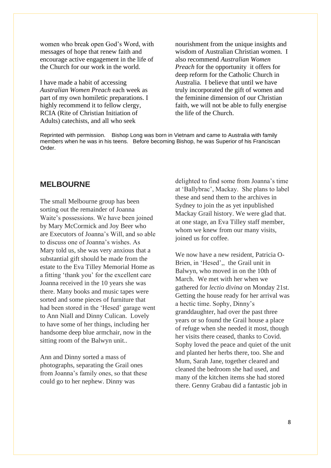women who break open God's Word, with messages of hope that renew faith and encourage active engagement in the life of the Church for our work in the world.

I have made a habit of accessing *Australian Women Preach* each week as part of my own homiletic preparations. I highly recommend it to fellow clergy, RCIA (Rite of Christian Initiation of Adults) catechists, and all who seek

nourishment from the unique insights and wisdom of Australian Christian women. I also recommend *Australian Women Preach* for the opportunity it offers for deep reform for the Catholic Church in Australia. I believe that until we have truly incorporated the gift of women and the feminine dimension of our Christian faith, we will not be able to fully energise the life of the Church.

Reprinted with permission. Bishop Long was born in Vietnam and came to Australia with family members when he was in his teens. Before becoming Bishop, he was Superior of his Franciscan Order.

#### **MELBOURNE**

The small Melbourne group has been sorting out the remainder of Joanna Waite's possessions. We have been joined by Mary McCormick and Joy Beer who are Executors of Joanna's Will, and so able to discuss one of Joanna's wishes. As Mary told us, she was very anxious that a substantial gift should be made from the estate to the Eva Tilley Memorial Home as a fitting 'thank you' for the excellent care Joanna received in the 10 years she was there. Many books and music tapes were sorted and some pieces of furniture that had been stored in the 'Hesed' garage went to Ann Niall and Dinny Culican. Lovely to have some of her things, including her handsome deep blue armchair, now in the sitting room of the Balwyn unit..

Ann and Dinny sorted a mass of photographs, separating the Grail ones from Joanna's family ones, so that these could go to her nephew. Dinny was

delighted to find some from Joanna's time at 'Ballybrac', Mackay. She plans to label these and send them to the archives in Sydney to join the as yet inpublished Mackay Grail history. We were glad that. at one stage, an Eva Tilley staff member, whom we knew from our many visits, joined us for coffee.

We now have a new resident, Patricia O-Brien, in 'Hesed',, the Grail unit in Balwyn, who moved in on the 10th of March. We met with her when we gathered for *lectio divina* on Monday 21st. Getting the house ready for her arrival was a hectic time. Sophy, Dinny's granddaughter, had over the past three years or so found the Grail house a place of refuge when she needed it most, though her visits there ceased, thanks to Covid. Sophy loved the peace and quiet of the unit and planted her herbs there, too. She and Mum, Sarah Jane, together cleared and cleaned the bedroom she had used, and many of the kitchen items she had stored there. Genny Grabau did a fantastic job in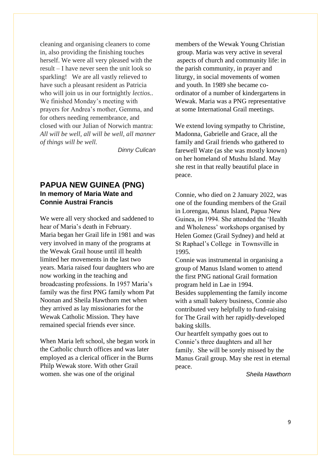cleaning and organising cleaners to come in, also providing the finishing touches herself. We were all very pleased with the result – I have never seen the unit look so sparkling! We are all vastly relieved to have such a pleasant resident as Patricia who will join us in our fortnightly *lectios..* We finished Monday's meeting with prayers for Andrea's mother, Gemma, and for others needing remembrance, and closed with our Julian of Norwich mantra: *All will be well, all will be well, all manner of things will be well.*

*Dinny Culican*

# **PAPUA NEW GUINEA (PNG) In memory of Maria Wate and Connie Austrai Francis**

We were all very shocked and saddened to hear of Maria's death in February. Maria began her Grail life in 1981 and was very involved in many of the programs at the Wewak Grail house until ill health limited her movements in the last two years. Maria raised four daughters who are now working in the teaching and broadcasting professions. In 1957 Maria's family was the first PNG family whom Pat Noonan and Sheila Hawthorn met when they arrived as lay missionaries for the Wewak Catholic Mission. They have remained special friends ever since.

When Maria left school, she began work in the Catholic church offices and was later employed as a clerical officer in the Burns Philp Wewak store. With other Grail women. she was one of the original

members of the Wewak Young Christian group. Maria was very active in several aspects of church and community life: in the parish community, in prayer and liturgy, in social movements of women and youth. In 1989 she became coordinator of a number of kindergartens in Wewak. Maria was a PNG representative at some International Grail meetings.

We extend loving sympathy to Christine. Madonna, Gabrielle and Grace, all the family and Grail friends who gathered to farewell Wate (as she was mostly known) on her homeland of Mushu Island. May she rest in that really beautiful place in peace.

Connie, who died on 2 January 2022, was one of the founding members of the Grail in Lorengau, Manus Island, Papua New Guinea, in 1994. She attended the 'Health and Wholeness' workshops organised by Helen Gomez (Grail Sydney) and held at St Raphael's College in Townsville in 1995.

Connie was instrumental in organising a group of Manus Island women to attend the first PNG national Grail formation program held in Lae in 1994.

Besides supplementing the family income with a small bakery business, Connie also contributed very helpfully to fund-raising for The Grail with her rapidly-developed baking skills.

Our heartfelt sympathy goes out to Connie's three daughters and all her family. She will be sorely missed by the Manus Grail group. May she rest in eternal peace.

*Sheila Hawthorn*